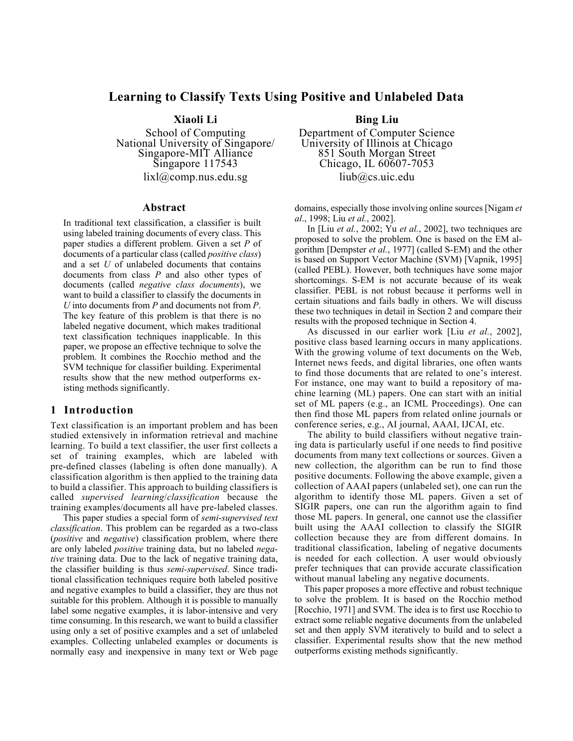# **Learning to Classify Texts Using Positive and Unlabeled Data**

**Xiaoli Li** 

School of Computing National University of Singapore/ Singapore-MIT Alliance Singapore 117543 lixl@comp.nus.edu.sg

#### **Abstract**

In traditional text classification, a classifier is built using labeled training documents of every class. This paper studies a different problem. Given a set *P* of documents of a particular class (called *positive class*) and a set *U* of unlabeled documents that contains documents from class *P* and also other types of documents (called *negative class documents*), we want to build a classifier to classify the documents in *U* into documents from *P* and documents not from *P*. The key feature of this problem is that there is no labeled negative document, which makes traditional text classification techniques inapplicable. In this paper, we propose an effective technique to solve the problem. It combines the Rocchio method and the SVM technique for classifier building. Experimental results show that the new method outperforms existing methods significantly.

## **1 Introduction**

Text classification is an important problem and has been studied extensively in information retrieval and machine learning. To build a text classifier, the user first collects a set of training examples, which are labeled with pre-defined classes (labeling is often done manually). A classification algorithm is then applied to the training data to build a classifier. This approach to building classifiers is called *supervised learning*/*classification* because the training examples/documents all have pre-labeled classes.

This paper studies a special form of *semi*-*supervised text classification*. This problem can be regarded as a two-class (*positive* and *negative*) classification problem, where there are only labeled *positive* training data, but no labeled *negative* training data. Due to the lack of negative training data, the classifier building is thus *semi-supervised*. Since traditional classification techniques require both labeled positive and negative examples to build a classifier, they are thus not suitable for this problem. Although it is possible to manually label some negative examples, it is labor-intensive and very time consuming. In this research, we want to build a classifier using only a set of positive examples and a set of unlabeled examples. Collecting unlabeled examples or documents is normally easy and inexpensive in many text or Web page

**Bing Liu**  Department of Computer Science University of Illinois at Chicago 851 South Morgan Street Chicago, IL 60607-7053 liub@cs.uic.edu

domains, especially those involving online sources [Nigam *et al*., 1998; Liu *et al.*, 2002].

In [Liu *et al.*, 2002; Yu *et al.*, 2002], two techniques are proposed to solve the problem. One is based on the EM algorithm [Dempster *et al.*, 1977] (called S-EM) and the other is based on Support Vector Machine (SVM) [Vapnik, 1995] (called PEBL). However, both techniques have some major shortcomings. S-EM is not accurate because of its weak classifier. PEBL is not robust because it performs well in certain situations and fails badly in others. We will discuss these two techniques in detail in Section 2 and compare their results with the proposed technique in Section 4.

As discussed in our earlier work [Liu *et al.*, 2002], positive class based learning occurs in many applications. With the growing volume of text documents on the Web, Internet news feeds, and digital libraries, one often wants to find those documents that are related to one's interest. For instance, one may want to build a repository of machine learning (ML) papers. One can start with an initial set of ML papers (e.g., an ICML Proceedings). One can then find those ML papers from related online journals or conference series, e.g., AI journal, AAAI, IJCAI, etc.

The ability to build classifiers without negative training data is particularly useful if one needs to find positive documents from many text collections or sources. Given a new collection, the algorithm can be run to find those positive documents. Following the above example, given a collection of AAAI papers (unlabeled set), one can run the algorithm to identify those ML papers. Given a set of SIGIR papers, one can run the algorithm again to find those ML papers. In general, one cannot use the classifier built using the AAAI collection to classify the SIGIR collection because they are from different domains. In traditional classification, labeling of negative documents is needed for each collection. A user would obviously prefer techniques that can provide accurate classification without manual labeling any negative documents.

This paper proposes a more effective and robust technique to solve the problem. It is based on the Rocchio method [Rocchio, 1971] and SVM. The idea is to first use Rocchio to extract some reliable negative documents from the unlabeled set and then apply SVM iteratively to build and to select a classifier. Experimental results show that the new method outperforms existing methods significantly.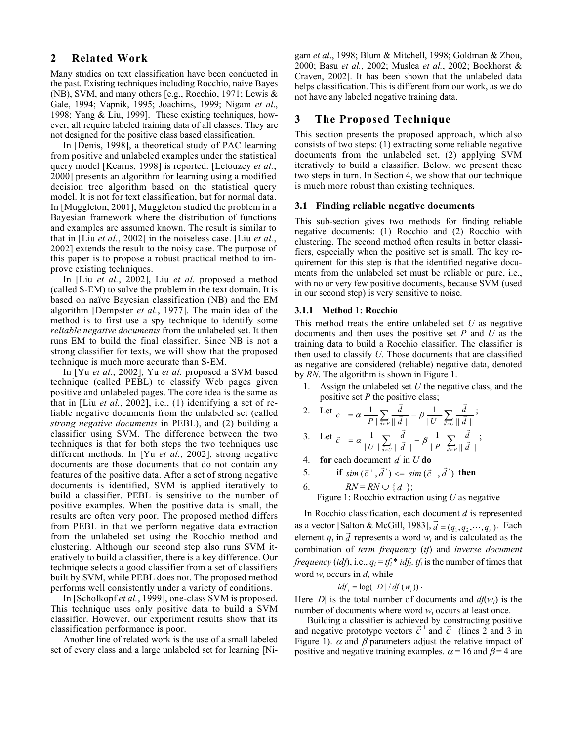## **2 Related Work**

Many studies on text classification have been conducted in the past. Existing techniques including Rocchio, naive Bayes (NB), SVM, and many others [e.g., Rocchio, 1971; Lewis & Gale, 1994; Vapnik, 1995; Joachims, 1999; Nigam *et al*., 1998; Yang & Liu, 1999]. These existing techniques, however, all require labeled training data of all classes. They are not designed for the positive class based classification.

In [Denis, 1998], a theoretical study of PAC learning from positive and unlabeled examples under the statistical query model [Kearns, 1998] is reported. [Letouzey *et al.*, 2000] presents an algorithm for learning using a modified decision tree algorithm based on the statistical query model. It is not for text classification, but for normal data. In [Muggleton, 2001], Muggleton studied the problem in a Bayesian framework where the distribution of functions and examples are assumed known. The result is similar to that in [Liu *et al.*, 2002] in the noiseless case. [Liu *et al.*, 2002] extends the result to the noisy case. The purpose of this paper is to propose a robust practical method to improve existing techniques.

In [Liu *et al.*, 2002], Liu *et al.* proposed a method (called S-EM) to solve the problem in the text domain. It is based on naïve Bayesian classification (NB) and the EM algorithm [Dempster *et al.*, 1977]. The main idea of the method is to first use a spy technique to identify some *reliable negative documents* from the unlabeled set. It then runs EM to build the final classifier. Since NB is not a strong classifier for texts, we will show that the proposed technique is much more accurate than S-EM.

In [Yu *et al.*, 2002], Yu *et al.* proposed a SVM based technique (called PEBL) to classify Web pages given positive and unlabeled pages. The core idea is the same as that in [Liu *et al.*, 2002], i.e., (1) identifying a set of reliable negative documents from the unlabeled set (called *strong negative documents* in PEBL), and (2) building a classifier using SVM. The difference between the two techniques is that for both steps the two techniques use different methods. In [Yu *et al.*, 2002], strong negative documents are those documents that do not contain any features of the positive data. After a set of strong negative documents is identified, SVM is applied iteratively to build a classifier. PEBL is sensitive to the number of positive examples. When the positive data is small, the results are often very poor. The proposed method differs from PEBL in that we perform negative data extraction from the unlabeled set using the Rocchio method and clustering. Although our second step also runs SVM iteratively to build a classifier, there is a key difference. Our technique selects a good classifier from a set of classifiers built by SVM, while PEBL does not. The proposed method performs well consistently under a variety of conditions.

In [Scholkopf *et al.*, 1999], one-class SVM is proposed. This technique uses only positive data to build a SVM classifier. However, our experiment results show that its classification performance is poor.

Another line of related work is the use of a small labeled set of every class and a large unlabeled set for learning [Nigam *et al*., 1998; Blum & Mitchell, 1998; Goldman & Zhou, 2000; Basu *et al.*, 2002; Muslea *et al.*, 2002; Bockhorst & Craven, 2002]. It has been shown that the unlabeled data helps classification. This is different from our work, as we do not have any labeled negative training data.

## **3 The Proposed Technique**

This section presents the proposed approach, which also consists of two steps: (1) extracting some reliable negative documents from the unlabeled set, (2) applying SVM iteratively to build a classifier. Below, we present these two steps in turn. In Section 4, we show that our technique is much more robust than existing techniques.

## **3.1 Finding reliable negative documents**

This sub-section gives two methods for finding reliable negative documents: (1) Rocchio and (2) Rocchio with clustering. The second method often results in better classifiers, especially when the positive set is small. The key requirement for this step is that the identified negative documents from the unlabeled set must be reliable or pure, i.e., with no or very few positive documents, because SVM (used in our second step) is very sensitive to noise.

#### **3.1.1 Method 1: Rocchio**

This method treats the entire unlabeled set *U* as negative documents and then uses the positive set *P* and *U* as the training data to build a Rocchio classifier. The classifier is then used to classify *U*. Those documents that are classified as negative are considered (reliable) negative data, denoted by *RN*. The algorithm is shown in Figure 1.

1. Assign the unlabeled set *U* the negative class, and the positive set *P* the positive class;

2. Let 
$$
\vec{c}^+ = \alpha \frac{1}{|P|} \sum_{\vec{d} \in P} \frac{\vec{d}}{\|\vec{d}\|} - \beta \frac{1}{|U|} \sum_{\vec{d} \in U} \frac{\vec{d}}{\|\vec{d}\|};
$$

3. Let 
$$
\vec{c} = \alpha \frac{1}{|U|} \sum_{\vec{d} \in U} \frac{\vec{d}}{\|\vec{d}\|} - \beta \frac{1}{|P|} \sum_{\vec{d} \in P} \frac{\vec{d}}{\|\vec{d}\|};
$$

4. **for** each document  $d'$  in  $U$  do

5. if 
$$
sim(\vec{c}^+, \vec{d}^{\prime}) \leq sim(\vec{c}^-, \vec{d}^{\prime})
$$
 then

6. 
$$
RN = RN \cup \{d^{\prime}\};
$$

Figure 1: Rocchio extraction using *U* as negative

In Rocchio classification, each document *d* is represented as a vector [Salton & McGill, 1983],  $\vec{d} = (q_1, q_2, \dots, q_n)$ . Each element  $q_i$  in  $\vec{d}$  represents a word  $w_i$  and is calculated as the combination of *term frequency* (*tf*) and *inverse document frequency (idf), i.e.,*  $q_i = tf_i * idf_i$ *.*  $tf_i$  *is the number of times that* word *wi* occurs in *d*, while

$$
idf_i = log(|D| / df(w_i))
$$
.

Here  $|D|$  is the total number of documents and  $df(w_i)$  is the number of documents where word *w<sub>i</sub>* occurs at least once.

 Building a classifier is achieved by constructing positive Building a classifier is achieved by constructing positive<br>and negative prototype vectors  $\vec{c}$ <sup>+</sup> and  $\vec{c}$ <sup>-</sup> (lines 2 and 3 in Figure 1).  $\alpha$  and  $\beta$  parameters adjust the relative impact of positive and negative training examples.  $\alpha$  = 16 and  $\beta$  = 4 are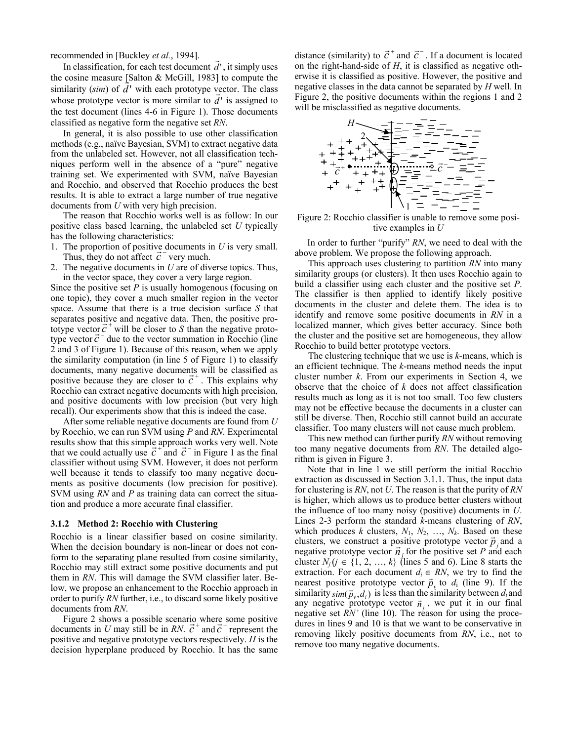recommended in [Buckley *et al.*, 1994].

In classification, for each test document  $\vec{d}$ , it simply uses the cosine measure [Salton  $\&$  McGill, 1983] to compute the similarity  $(sim)$  of  $d'$  with each prototype vector. The class whose prototype vector is more similar to  $d'$  is assigned to the test document (lines 4-6 in Figure 1). Those documents classified as negative form the negative set *RN*.

In general, it is also possible to use other classification methods (e.g., naïve Bayesian, SVM) to extract negative data from the unlabeled set. However, not all classification techniques perform well in the absence of a "pure" negative training set. We experimented with SVM, naïve Bayesian and Rocchio, and observed that Rocchio produces the best results. It is able to extract a large number of true negative documents from *U* with very high precision.

The reason that Rocchio works well is as follow: In our positive class based learning, the unlabeled set *U* typically has the following characteristics:

- 1. The proportion of positive documents in *U* is very small. Thus, they do not affect  $\vec{c}$ <sup>-</sup> very much.
- 2. The negative documents in *U* are of diverse topics. Thus, in the vector space, they cover a very large region.

Since the positive set *P* is usually homogenous (focusing on one topic), they cover a much smaller region in the vector space. Assume that there is a true decision surface *S* that separates positive and negative data. Then, the positive proseparates positive and negative data. Then, the positive pro-<br>totype vector  $\vec{c}^+$  will be closer to *S* than the negative prototo type vector  $\vec{c}$  will be closer to S than the negative proto-<br>type vector  $\vec{c}$  due to the vector summation in Rocchio (line 2 and 3 of Figure 1). Because of this reason, when we apply the similarity computation (in line 5 of Figure 1) to classify documents, many negative documents will be classified as documents, many negative documents will be classified as positive because they are closer to  $\vec{c}^*$ . This explains why Rocchio can extract negative documents with high precision, and positive documents with low precision (but very high recall). Our experiments show that this is indeed the case.

After some reliable negative documents are found from *U*  by Rocchio, we can run SVM using *P* and *RN*. Experimental results show that this simple approach works very well. Note that we could actually use  $\vec{c}$  + and  $\vec{c}$  in Figure 1 as the final classifier without using SVM. However, it does not perform well because it tends to classify too many negative documents as positive documents (low precision for positive). SVM using *RN* and *P* as training data can correct the situation and produce a more accurate final classifier.

#### **3.1.2 Method 2: Rocchio with Clustering**

Rocchio is a linear classifier based on cosine similarity. When the decision boundary is non-linear or does not conform to the separating plane resulted from cosine similarity, Rocchio may still extract some positive documents and put them in *RN*. This will damage the SVM classifier later. Below, we propose an enhancement to the Rocchio approach in order to purify *RN* further, i.e., to discard some likely positive documents from *RN*.

Figure 2 shows a possible scenario where some positive Figure 2 snows a possible scenario where some positive documents in *U* may still be in *RN*.  $\vec{c}$ <sup>+</sup> and  $\vec{c}$ <sup>-</sup> represent the positive and negative prototype vectors respectively. *H* is the decision hyperplane produced by Rocchio. It has the same

distance (similarity) to  $\vec{c}$ <sup>+</sup> and  $\vec{c}$ <sup>-</sup>. If a document is located on the right-hand-side of *H*, it is classified as negative otherwise it is classified as positive. However, the positive and negative classes in the data cannot be separated by *H* well. In Figure 2, the positive documents within the regions 1 and 2 will be misclassified as negative documents.



Figure 2: Rocchio classifier is unable to remove some positive examples in *U*

In order to further "purify" *RN*, we need to deal with the above problem. We propose the following approach.

This approach uses clustering to partition *RN* into many similarity groups (or clusters). It then uses Rocchio again to build a classifier using each cluster and the positive set *P*. The classifier is then applied to identify likely positive documents in the cluster and delete them. The idea is to identify and remove some positive documents in *RN* in a localized manner, which gives better accuracy. Since both the cluster and the positive set are homogeneous, they allow Rocchio to build better prototype vectors.

The clustering technique that we use is *k-*means, which is an efficient technique. The *k*-means method needs the input cluster number *k*. From our experiments in Section 4, we observe that the choice of *k* does not affect classification results much as long as it is not too small. Too few clusters may not be effective because the documents in a cluster can still be diverse. Then, Rocchio still cannot build an accurate classifier. Too many clusters will not cause much problem.

This new method can further purify *RN* without removing too many negative documents from *RN*. The detailed algorithm is given in Figure 3.

Note that in line 1 we still perform the initial Rocchio extraction as discussed in Section 3.1.1. Thus, the input data for clustering is *RN*, not *U*. The reason is that the purity of *RN* is higher, which allows us to produce better clusters without the influence of too many noisy (positive) documents in *U*. Lines 2-3 perform the standard *k*-means clustering of *RN*, which produces *k* clusters,  $N_1, N_2, \ldots, N_k$ . Based on these clusters, we construct a positive prototype vector  $\vec{p}_j$  and a equately, we construct a positive prototype vector  $p_j$  and a regative prototype vector  $\vec{n}_j$  for the positive set *P* and each cluster *N<sub>j</sub>*( $j$  ∈ {1, 2, …,  $k$ } (lines 5 and 6). Line 8 starts the extraction. For each document  $d_i \in RN$ , we try to find the nearest positive prototype vector  $\vec{p}_y$  to  $d_i$  (line 9). If the similarity  $\sin(\vec{p}_v, d_i)$  is less than the similarity between  $d_i$  and any negative prototype vector  $\vec{n}_j$ , we put it in our final negative set *RN'* (line 10). The reason for using the procedures in lines 9 and 10 is that we want to be conservative in removing likely positive documents from *RN*, i.e., not to remove too many negative documents.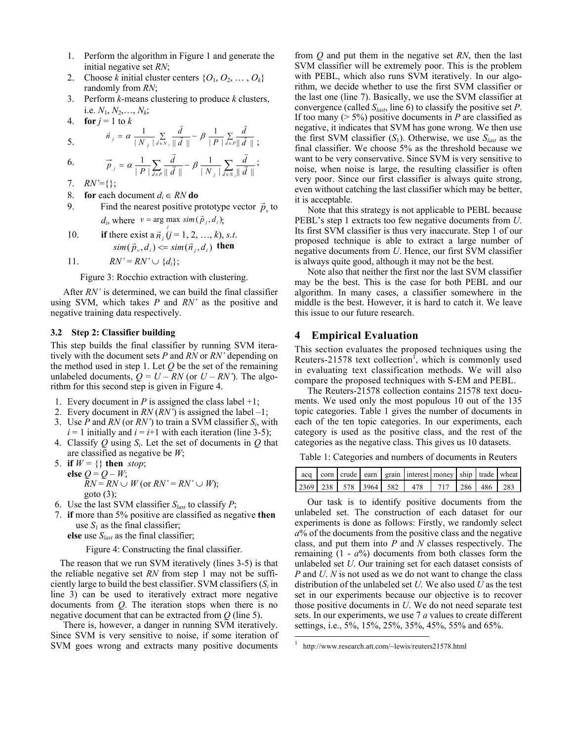- 1. Perform the algorithm in Figure 1 and generate the initial negative set *RN*;
- 2. Choose *k* initial cluster centers  $\{O_1, O_2, \ldots, O_k\}$ randomly from *RN*;
- 3. Perform *k*-means clustering to produce *k* clusters, i.e.  $N_1, N_2, \ldots, N_k$ ;

 $\vec{r}$ 

4. **for** 
$$
j = 1
$$
 to k

4. **101** 
$$
f = 1
$$
 to  $\kappa$   
\n5.  $\vec{n}_j = \alpha \frac{1}{|N_j|} \sum_{\vec{d} \in N_j} \frac{\vec{d}}{\|\vec{d}\|} - \beta \frac{1}{|P|} \sum_{\vec{d} \in P} \frac{\vec{d}}{\|\vec{d}\|}$ ;

6. 
$$
\vec{p}_j = \alpha \frac{1}{|P|} \sum_{d \in P} \frac{\vec{d}}{\|\vec{d}\|} - \beta \frac{1}{|N_j|} \sum_{d \in N_j} \frac{\vec{d}}{\|\vec{d}\|};
$$
  
7.  $RN'=\{\};$ 

8. **for** each document  $d_i \in RN$  **do** 

9. Find the nearest positive prototype vector  $\vec{p}_v$  to  $d_i$ , where  $v = \arg \max_j \, sim(\vec{p}_j, d_i)$ ;

10. **if** there exist a 
$$
\vec{n}_j
$$
 ( $j = 1, 2, ..., k$ ), s.t.  
\n $sim(\vec{p}_v, d_i) \leq sim(\vec{n}_j, d_i)$  then

11. 
$$
RN'=RN'\cup\{d_i\};
$$

Figure 3: Rocchio extraction with clustering.

After *RN'* is determined, we can build the final classifier using SVM, which takes *P* and *RN'* as the positive and negative training data respectively.

#### **3.2 Step 2: Classifier building**

This step builds the final classifier by running SVM iteratively with the document sets *P* and *RN* or *RN*<sup>*'*</sup> depending on the method used in step 1. Let *Q* be the set of the remaining unlabeled documents,  $Q = U - RN$  (or  $U - RN'$ ). The algorithm for this second step is given in Figure 4.

- 1. Every document in *P* is assigned the class label  $+1$ ;
- 2. Every document in  $RN(RN')$  is assigned the label  $-1$ ;
- 3. Use *P* and *RN* (or *RN'*) to train a SVM classifier  $S_i$ , with  $i = 1$  initially and  $i = i+1$  with each iteration (line 3-5);
- 4. Classify *Q* using *Si*. Let the set of documents in *Q* that are classified as negative be *W*;
- 5. **if**  $W = \{\}$  then *stop*; **else**  $Q = Q - W$ ;  $RN = RN \cup W$  (or  $RN' = RN' \cup W$ ); goto (3);
- 6. Use the last SVM classifier  $S<sub>last</sub>$  to classify *P*;
- 7. **if** more than 5% positive are classified as negative **then** use  $S_1$  as the final classifier;

**else** use *Slast* as the final classifier;

Figure 4: Constructing the final classifier.

The reason that we run SVM iteratively (lines 3-5) is that the reliable negative set *RN* from step 1 may not be sufficiently large to build the best classifier. SVM classifiers (*Si* in line 3) can be used to iteratively extract more negative documents from *Q*. The iteration stops when there is no negative document that can be extracted from *Q* (line 5).

There is, however, a danger in running SVM iteratively. Since SVM is very sensitive to noise, if some iteration of SVM goes wrong and extracts many positive documents

from *Q* and put them in the negative set *RN*, then the last SVM classifier will be extremely poor. This is the problem with PEBL, which also runs SVM iteratively. In our algorithm, we decide whether to use the first SVM classifier or the last one (line 7). Basically, we use the SVM classifier at convergence (called *Slast*, line 6) to classify the positive set *P*. If too many ( $> 5\%$ ) positive documents in *P* are classified as negative, it indicates that SVM has gone wrong. We then use the first SVM classifier  $(S_1)$ . Otherwise, we use  $S<sub>last</sub>$  as the final classifier. We choose 5% as the threshold because we want to be very conservative. Since SVM is very sensitive to noise, when noise is large, the resulting classifier is often very poor. Since our first classifier is always quite strong, even without catching the last classifier which may be better, it is acceptable.

Note that this strategy is not applicable to PEBL because PEBL's step 1 extracts too few negative documents from *U*. Its first SVM classifier is thus very inaccurate. Step 1 of our proposed technique is able to extract a large number of negative documents from *U*. Hence, our first SVM classifier is always quite good, although it may not be the best.

Note also that neither the first nor the last SVM classifier may be the best. This is the case for both PEBL and our algorithm. In many cases, a classifier somewhere in the middle is the best. However, it is hard to catch it. We leave this issue to our future research.

## **4 Empirical Evaluation**

This section evaluates the proposed techniques using the Reuters-21578 text collection<sup>f</sup>, which is commonly used in evaluating text classification methods. We will also compare the proposed techniques with S-EM and PEBL.

The Reuters-21578 collection contains 21578 text documents. We used only the most populous 10 out of the 135 topic categories. Table 1 gives the number of documents in each of the ten topic categories. In our experiments, each category is used as the positive class, and the rest of the categories as the negative class. This gives us 10 datasets.

Table 1: Categories and numbers of documents in Reuters

|  |  | acq   corn   crude   earn   grain   interest   money   ship   trade   wheat |  |  |
|--|--|-----------------------------------------------------------------------------|--|--|
|  |  | 2369 238 578 3964 582 478 717 286 486 283                                   |  |  |

Our task is to identify positive documents from the unlabeled set. The construction of each dataset for our experiments is done as follows: Firstly, we randomly select *a*% of the documents from the positive class and the negative class, and put them into *P* and *N* classes respectively. The remaining  $(1 - a\%)$  documents from both classes form the unlabeled set *U*. Our training set for each dataset consists of *P* and *U*. *N* is not used as we do not want to change the class distribution of the unlabeled set *U.* We also used *U* as the test set in our experiments because our objective is to recover those positive documents in *U*. We do not need separate test sets. In our experiments, we use 7 *a* values to create different settings, i.e., 5%, 15%, 25%, 35%, 45%, 55% and 65%.

 1 http://www.research.att.com/~lewis/reuters21578.html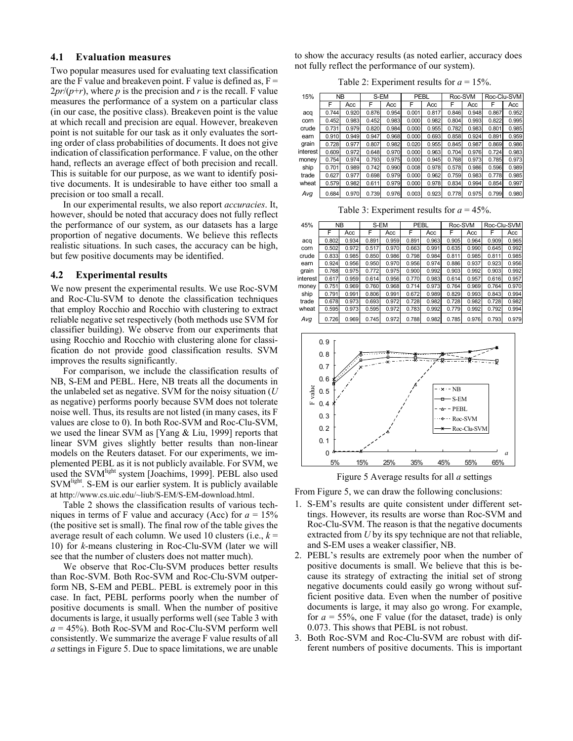## **4.1 Evaluation measures**

Two popular measures used for evaluating text classification are the F value and breakeven point. F value is defined as,  $F =$  $2pr/(p+r)$ , where *p* is the precision and *r* is the recall. F value measures the performance of a system on a particular class (in our case, the positive class). Breakeven point is the value at which recall and precision are equal. However, breakeven point is not suitable for our task as it only evaluates the sorting order of class probabilities of documents. It does not give indication of classification performance. F value, on the other hand, reflects an average effect of both precision and recall. This is suitable for our purpose, as we want to identify positive documents. It is undesirable to have either too small a precision or too small a recall.

 In our experimental results, we also report *accuracies*. It, however, should be noted that accuracy does not fully reflect the performance of our system, as our datasets has a large proportion of negative documents. We believe this reflects realistic situations. In such cases, the accuracy can be high, but few positive documents may be identified.

#### **4.2 Experimental results**

We now present the experimental results. We use Roc-SVM and Roc-Clu-SVM to denote the classification techniques that employ Rocchio and Rocchio with clustering to extract reliable negative set respectively (both methods use SVM for classifier building). We observe from our experiments that using Rocchio and Rocchio with clustering alone for classification do not provide good classification results. SVM improves the results significantly.

For comparison, we include the classification results of NB, S-EM and PEBL. Here, NB treats all the documents in the unlabeled set as negative. SVM for the noisy situation (*U* as negative) performs poorly because SVM does not tolerate noise well. Thus, its results are not listed (in many cases, its F values are close to 0). In both Roc-SVM and Roc-Clu-SVM, we used the linear SVM as [Yang & Liu, 1999] reports that linear SVM gives slightly better results than non-linear models on the Reuters dataset. For our experiments, we implemented PEBL as it is not publicly available. For SVM, we used the SVM<sup>light</sup> system [Joachims, 1999]. PEBL also used SVM<sup>light</sup>. S-EM is our earlier system. It is publicly available at http://www.cs.uic.edu/~liub/S-EM/S-EM-download.html.

Table 2 shows the classification results of various techniques in terms of F value and accuracy (Acc) for  $a = 15%$ (the positive set is small). The final row of the table gives the average result of each column. We used 10 clusters (i.e., *k* = 10) for *k-*means clustering in Roc-Clu-SVM (later we will see that the number of clusters does not matter much).

We observe that Roc-Clu-SVM produces better results than Roc-SVM. Both Roc-SVM and Roc-Clu-SVM outperform NB, S-EM and PEBL. PEBL is extremely poor in this case. In fact, PEBL performs poorly when the number of positive documents is small. When the number of positive documents is large, it usually performs well (see Table 3 with  $a = 45\%$ ). Both Roc-SVM and Roc-Clu-SVM perform well consistently. We summarize the average F value results of all *a* settings in Figure 5. Due to space limitations, we are unable to show the accuracy results (as noted earlier, accuracy does not fully reflect the performance of our system).

Table 2: Experiment results for  $a = 15\%$ .

| 15%      | <b>NB</b> |       | S-EM  |       | PEBL  |       | Roc-SVM |       | Roc-Clu-SVM |       |
|----------|-----------|-------|-------|-------|-------|-------|---------|-------|-------------|-------|
|          | F         | Acc   | F     | Acc   | F     | Acc   | F       | Acc   | F           | Acc   |
| acq      | 0.744     | 0.920 | 0.876 | 0.954 | 0.001 | 0.817 | 0.846   | 0.948 | 0.867       | 0.952 |
| corn     | 0.452     | 0.983 | 0.452 | 0.983 | 0.000 | 0.982 | 0.804   | 0.993 | 0.822       | 0.995 |
| crude    | 0.731     | 0.979 | 0.820 | 0.984 | 0.000 | 0.955 | 0.782   | 0.983 | 0.801       | 0.985 |
| earn     | 0.910     | 0.949 | 0.947 | 0.968 | 0.000 | 0.693 | 0.858   | 0.924 | 0.891       | 0.959 |
| grain    | 0.728     | 0.977 | 0.807 | 0.982 | 0.020 | 0.955 | 0.845   | 0.987 | 0.869       | 0.986 |
| interest | 0.609     | 0.972 | 0.648 | 0.970 | 0.000 | 0.963 | 0.704   | 0.976 | 0.724       | 0.983 |
| money    | 0.754     | 0.974 | 0.793 | 0.975 | 0.000 | 0.945 | 0.768   | 0.973 | 0.785       | 0.973 |
| ship     | 0.701     | 0.989 | 0.742 | 0.990 | 0.008 | 0.978 | 0.578   | 0.986 | 0.596       | 0.989 |
| trade    | 0.627     | 0.977 | 0.698 | 0.979 | 0.000 | 0.962 | 0.759   | 0.983 | 0.778       | 0.985 |
| wheat    | 0.579     | 0.982 | 0.611 | 0.979 | 0.000 | 0.978 | 0.834   | 0.994 | 0.854       | 0.997 |
| Avq      | 0.684     | 0.970 | 0.739 | 0.976 | 0.003 | 0.923 | 0.778   | 0.975 | 0.799       | 0.980 |

Table 3: Experiment results for  $a = 45\%$ .

| 45%      | <b>NB</b> |       | S-EM  |       | PEBL  |       | Roc-SVM |       | Roc-Clu-SVM |       |
|----------|-----------|-------|-------|-------|-------|-------|---------|-------|-------------|-------|
|          | F         | Acc   | F     | Acc   | F     | Acc   | F       | Acc   | F           | Acc   |
| acq      | 0.802     | 0.934 | 0.891 | 0.959 | 0.891 | 0.963 | 0.905   | 0.964 | 0.909       | 0.965 |
| corn     | 0.502     | 0.972 | 0.517 | 0.970 | 0.663 | 0.991 | 0.635   | 0.990 | 0.645       | 0.992 |
| crude    | 0.833     | 0.985 | 0.850 | 0.986 | 0.798 | 0.984 | 0.811   | 0.985 | 0.811       | 0.985 |
| earn     | 0.924     | 0.956 | 0.950 | 0.970 | 0.956 | 0.974 | 0.886   | 0.937 | 0.923       | 0.956 |
| grain    | 0.768     | 0.975 | 0.772 | 0.975 | 0.900 | 0.992 | 0.903   | 0.992 | 0.903       | 0.992 |
| interest | 0.617     | 0.959 | 0.614 | 0.956 | 0.770 | 0.983 | 0.614   | 0.957 | 0.616       | 0.957 |
| money    | 0.751     | 0.969 | 0.760 | 0.968 | 0.714 | 0.973 | 0.764   | 0.969 | 0.764       | 0.970 |
| ship     | 0.791     | 0.991 | 0.806 | 0.991 | 0.672 | 0.989 | 0.829   | 0.993 | 0.843       | 0.994 |
| trade    | 0.678     | 0.973 | 0.693 | 0.972 | 0.728 | 0.982 | 0.728   | 0.982 | 0.728       | 0.982 |
| wheat    | 0.595     | 0.973 | 0.595 | 0.972 | 0.783 | 0.992 | 0.779   | 0.992 | 0.792       | 0.994 |
| Avg      | 0.726     | 0.969 | 0.745 | 0.972 | 0.788 | 0.982 | 0.785   | 0.976 | 0.793       | 0.979 |



Figure 5 Average results for all *a* settings

From Figure 5, we can draw the following conclusions:

- 1. S-EM's results are quite consistent under different settings. However, its results are worse than Roc-SVM and Roc-Clu-SVM. The reason is that the negative documents extracted from *U* by its spy technique are not that reliable, and S-EM uses a weaker classifier, NB.
- 2. PEBL's results are extremely poor when the number of positive documents is small. We believe that this is because its strategy of extracting the initial set of strong negative documents could easily go wrong without sufficient positive data. Even when the number of positive documents is large, it may also go wrong. For example, for  $a = 55\%$ , one F value (for the dataset, trade) is only 0.073. This shows that PEBL is not robust.
- 3. Both Roc-SVM and Roc-Clu-SVM are robust with different numbers of positive documents. This is important